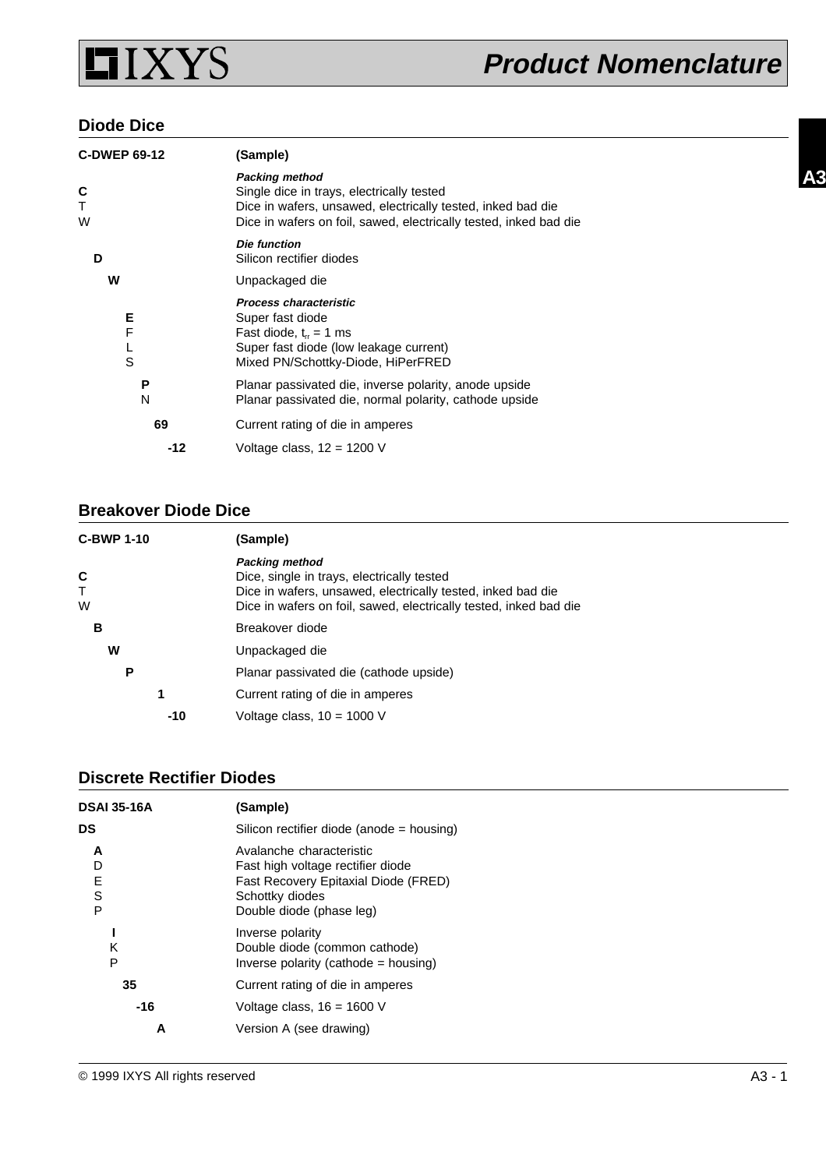

#### **Diode Dice**

| <b>C-DWEP 69-12</b> | (Sample)                                                                                                                                                                                               |
|---------------------|--------------------------------------------------------------------------------------------------------------------------------------------------------------------------------------------------------|
| C<br>Τ<br>W         | <b>Packing method</b><br>Single dice in trays, electrically tested<br>Dice in wafers, unsawed, electrically tested, inked bad die<br>Dice in wafers on foil, sawed, electrically tested, inked bad die |
| D                   | Die function<br>Silicon rectifier diodes                                                                                                                                                               |
| w                   | Unpackaged die                                                                                                                                                                                         |
| Е<br>F<br>S         | <b>Process characteristic</b><br>Super fast diode<br>Fast diode, $t_{rr} = 1$ ms<br>Super fast diode (low leakage current)<br>Mixed PN/Schottky-Diode, HiPerFRED                                       |
| Р<br>N              | Planar passivated die, inverse polarity, anode upside<br>Planar passivated die, normal polarity, cathode upside                                                                                        |
| 69                  | Current rating of die in amperes                                                                                                                                                                       |
| -12                 | Voltage class, $12 = 1200$ V                                                                                                                                                                           |

### **Breakover Diode Dice**

| <b>C-BWP 1-10</b>      | (Sample)                                                                                                                                                                                                |  |
|------------------------|---------------------------------------------------------------------------------------------------------------------------------------------------------------------------------------------------------|--|
| C<br>$\mathsf{T}$<br>W | <b>Packing method</b><br>Dice, single in trays, electrically tested<br>Dice in wafers, unsawed, electrically tested, inked bad die<br>Dice in wafers on foil, sawed, electrically tested, inked bad die |  |
| в                      | Breakover diode                                                                                                                                                                                         |  |
| W                      | Unpackaged die                                                                                                                                                                                          |  |
| P                      | Planar passivated die (cathode upside)                                                                                                                                                                  |  |
| 1                      | Current rating of die in amperes                                                                                                                                                                        |  |
| $-10$                  | Voltage class, $10 = 1000$ V                                                                                                                                                                            |  |

### **Discrete Rectifier Diodes**

| <b>DSAI 35-16A</b>    | (Sample)                                                                                                                                             |
|-----------------------|------------------------------------------------------------------------------------------------------------------------------------------------------|
| DS                    | Silicon rectifier diode (anode = housing)                                                                                                            |
| A<br>D<br>Е<br>S<br>P | Avalanche characteristic<br>Fast high voltage rectifier diode<br>Fast Recovery Epitaxial Diode (FRED)<br>Schottky diodes<br>Double diode (phase leg) |
| ĸ<br>P                | Inverse polarity<br>Double diode (common cathode)<br>Inverse polarity (cathode $=$ housing)                                                          |
| 35                    | Current rating of die in amperes                                                                                                                     |
| -16                   | Voltage class, $16 = 1600$ V                                                                                                                         |
| A                     | Version A (see drawing)                                                                                                                              |

**A3**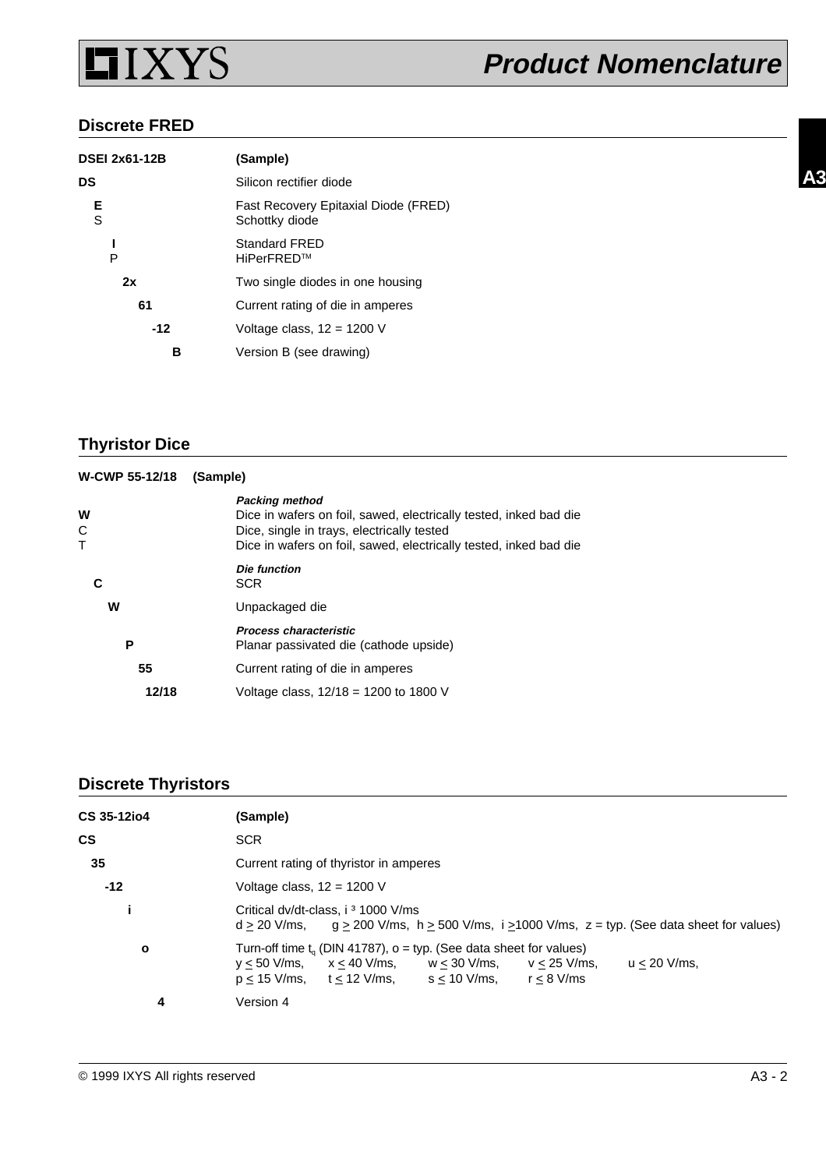

#### **Discrete FRED**

| DSEI 2x61-12B | (Sample)                                               |
|---------------|--------------------------------------------------------|
| DS            | Silicon rectifier diode                                |
| Е<br>S        | Fast Recovery Epitaxial Diode (FRED)<br>Schottky diode |
| P             | <b>Standard FRED</b><br>HiPerFRED™                     |
| 2x            | Two single diodes in one housing                       |
| 61            | Current rating of die in amperes                       |
| $-12$         | Voltage class, $12 = 1200$ V                           |
| в             | Version B (see drawing)                                |
|               |                                                        |

# **Thyristor Dice**

| W-CWP 55-12/18   | (Sample)                                                                                                                                                                                                      |
|------------------|---------------------------------------------------------------------------------------------------------------------------------------------------------------------------------------------------------------|
| W<br>C<br>$\top$ | <b>Packing method</b><br>Dice in wafers on foil, sawed, electrically tested, inked bad die<br>Dice, single in trays, electrically tested<br>Dice in wafers on foil, sawed, electrically tested, inked bad die |
|                  | <b>Die function</b><br><b>SCR</b>                                                                                                                                                                             |
| W                | Unpackaged die                                                                                                                                                                                                |
| P                | <b>Process characteristic</b><br>Planar passivated die (cathode upside)                                                                                                                                       |
| 55               | Current rating of die in amperes                                                                                                                                                                              |
| 12/18            | Voltage class, $12/18 = 1200$ to 1800 V                                                                                                                                                                       |

## **Discrete Thyristors**

| CS 35-12io4  | (Sample)                                                                                                                                                                                                                       |
|--------------|--------------------------------------------------------------------------------------------------------------------------------------------------------------------------------------------------------------------------------|
| <b>CS</b>    | <b>SCR</b>                                                                                                                                                                                                                     |
| 35           | Current rating of thyristor in amperes                                                                                                                                                                                         |
| $-12$        | Voltage class, $12 = 1200$ V                                                                                                                                                                                                   |
|              | Critical dv/dt-class, i <sup>3</sup> 1000 V/ms<br>$d \ge 20$ V/ms, $q \ge 200$ V/ms, $h \ge 500$ V/ms, $i \ge 1000$ V/ms, $z = typ$ . (See data sheet for values)                                                              |
| $\mathbf{o}$ | Turn-off time $t_a$ (DIN 41787), $o = typ$ . (See data sheet for values)<br>$u < 20$ V/ms.<br>$y \le 50$ V/ms, $x \le 40$ V/ms, $w \le 30$ V/ms, $v \le 25$ V/ms,<br>$p < 15$ V/ms, $t < 12$ V/ms, $s < 10$ V/ms, $r < 8$ V/ms |
| 4            | Version 4                                                                                                                                                                                                                      |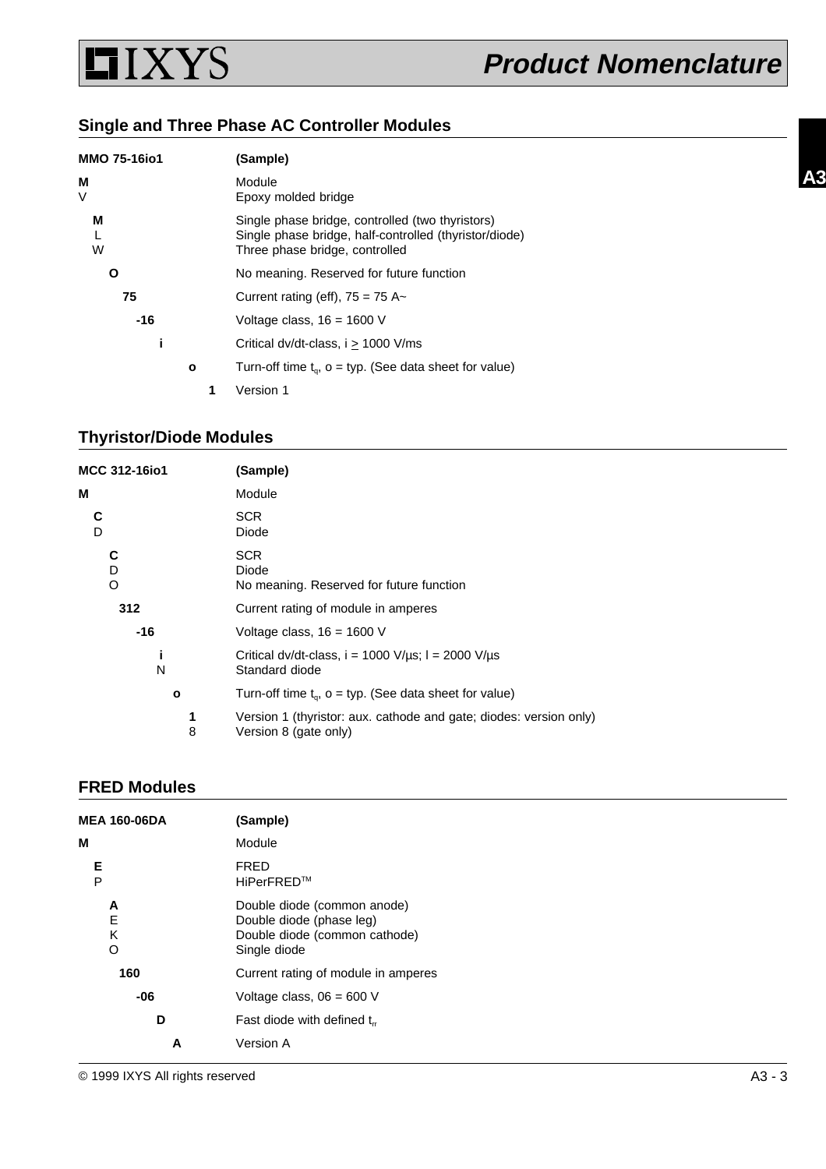

**A3**

# **Single and Three Phase AC Controller Modules**

| <b>MMO 75-16io1</b> |   | (Sample)                                                                                                                                     |
|---------------------|---|----------------------------------------------------------------------------------------------------------------------------------------------|
| М<br>V              |   | Module<br>Epoxy molded bridge                                                                                                                |
| М<br>W              |   | Single phase bridge, controlled (two thyristors)<br>Single phase bridge, half-controlled (thyristor/diode)<br>Three phase bridge, controlled |
| Ο                   |   | No meaning. Reserved for future function                                                                                                     |
| 75                  |   | Current rating (eff), $75 = 75$ A~                                                                                                           |
| -16                 |   | Voltage class, $16 = 1600$ V                                                                                                                 |
|                     |   | Critical dv/dt-class, $i > 1000$ V/ms                                                                                                        |
|                     | o | Turn-off time $t_{0}$ , $o = typ$ . (See data sheet for value)                                                                               |
|                     |   | Version 1                                                                                                                                    |

### **Thyristor/Diode Modules**

| (Sample)                                                                                    |
|---------------------------------------------------------------------------------------------|
| Module                                                                                      |
| <b>SCR</b><br>Diode                                                                         |
| SCR.<br>Diode<br>No meaning. Reserved for future function                                   |
| Current rating of module in amperes                                                         |
| Voltage class, $16 = 1600$ V                                                                |
| Critical dv/dt-class, $i = 1000$ V/ $\mu$ s; $l = 2000$ V/ $\mu$ s<br>Standard diode        |
| Turn-off time $t_q$ , $o = typ$ . (See data sheet for value)                                |
| Version 1 (thyristor: aux. cathode and gate; diodes: version only)<br>Version 8 (gate only) |
|                                                                                             |

## **FRED Modules**

| <b>MEA 160-06DA</b>        | (Sample)                                                                                                 |  |
|----------------------------|----------------------------------------------------------------------------------------------------------|--|
| M                          | Module                                                                                                   |  |
| Е<br>P                     | <b>FRED</b><br>HiPerFRED™                                                                                |  |
| A<br>$\mathsf E$<br>K<br>O | Double diode (common anode)<br>Double diode (phase leg)<br>Double diode (common cathode)<br>Single diode |  |
| 160                        | Current rating of module in amperes                                                                      |  |
| -06                        | Voltage class, $06 = 600$ V                                                                              |  |
| D                          | Fast diode with defined $t_{rr}$                                                                         |  |
| A                          | Version A                                                                                                |  |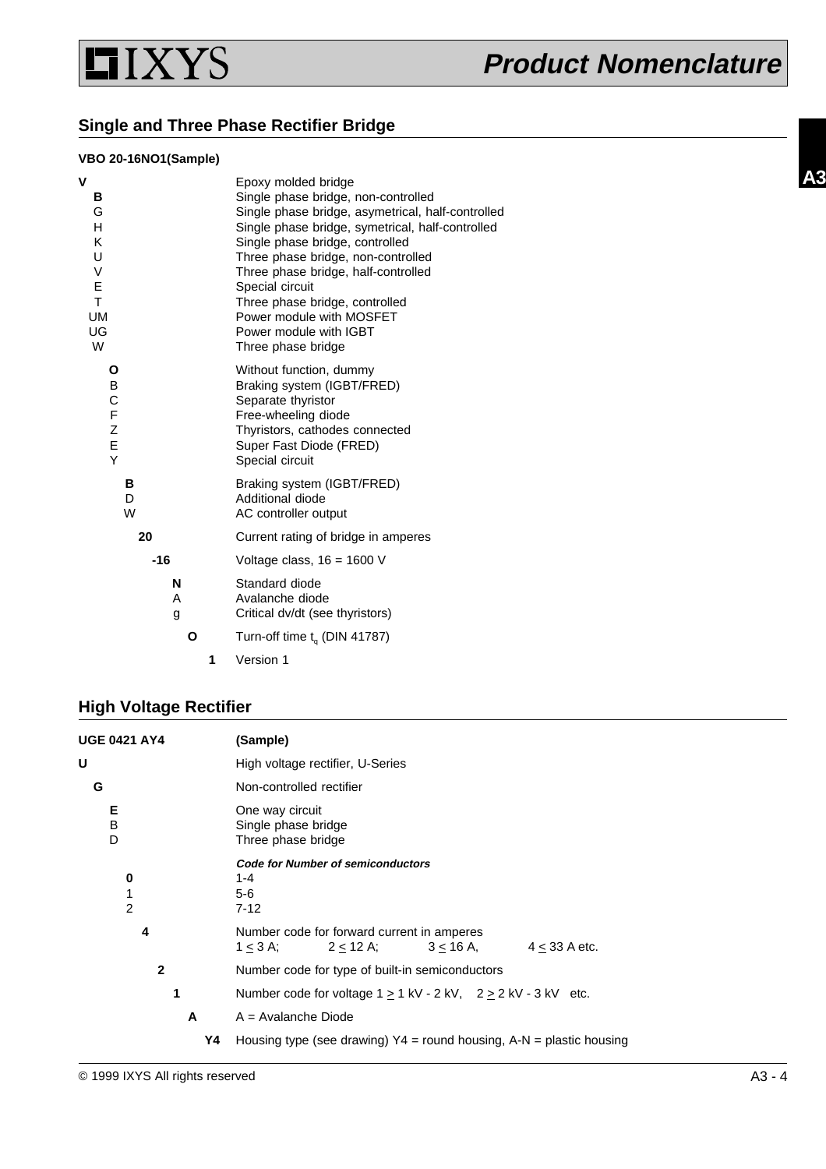

### **Single and Three Phase Rectifier Bridge**

#### **VBO 20-16NO1(Sample)**

| V                                                        | Epoxy molded bridge                                                                                                                                                                                                                                                                                                                                    |
|----------------------------------------------------------|--------------------------------------------------------------------------------------------------------------------------------------------------------------------------------------------------------------------------------------------------------------------------------------------------------------------------------------------------------|
| в                                                        | Single phase bridge, non-controlled                                                                                                                                                                                                                                                                                                                    |
| G<br>н<br>Κ<br>U<br>V<br>E<br>T.<br><b>UM</b><br>UG<br>W | Single phase bridge, asymetrical, half-controlled<br>Single phase bridge, symetrical, half-controlled<br>Single phase bridge, controlled<br>Three phase bridge, non-controlled<br>Three phase bridge, half-controlled<br>Special circuit<br>Three phase bridge, controlled<br>Power module with MOSFET<br>Power module with IGBT<br>Three phase bridge |
| Ο<br>B<br>C<br>F<br>Z<br>E<br>Y                          | Without function, dummy<br>Braking system (IGBT/FRED)<br>Separate thyristor<br>Free-wheeling diode<br>Thyristors, cathodes connected<br>Super Fast Diode (FRED)<br>Special circuit                                                                                                                                                                     |
| в<br>D<br>W                                              | Braking system (IGBT/FRED)<br>Additional diode<br>AC controller output                                                                                                                                                                                                                                                                                 |
| 20                                                       | Current rating of bridge in amperes                                                                                                                                                                                                                                                                                                                    |
| $-16$                                                    | Voltage class, $16 = 1600$ V                                                                                                                                                                                                                                                                                                                           |
| N<br>A<br>g                                              | Standard diode<br>Avalanche diode<br>Critical dv/dt (see thyristors)                                                                                                                                                                                                                                                                                   |
| Ο                                                        | Turn-off time $t_{\alpha}$ (DIN 41787)                                                                                                                                                                                                                                                                                                                 |
| 1                                                        | Version 1                                                                                                                                                                                                                                                                                                                                              |

# **High Voltage Rectifier**

| <b>UGE 0421 AY4</b>      | (Sample)                                                                                               |
|--------------------------|--------------------------------------------------------------------------------------------------------|
| U                        | High voltage rectifier, U-Series                                                                       |
| G                        | Non-controlled rectifier                                                                               |
| Е<br>в<br>D              | One way circuit<br>Single phase bridge<br>Three phase bridge                                           |
| 0<br>1<br>$\overline{2}$ | <b>Code for Number of semiconductors</b><br>1-4<br>$5-6$<br>$7 - 12$                                   |
| 4                        | Number code for forward current in amperes<br>$3 < 16$ A. $4 < 33$ A etc.<br>$2 < 12$ A;<br>$1 < 3$ A; |
| $\mathbf{2}$             | Number code for type of built-in semiconductors                                                        |
| 1                        | Number code for voltage $1 > 1$ kV - 2 kV, $2 > 2$ kV - 3 kV etc.                                      |
| A                        | $A =$ Avalanche Diode                                                                                  |
| Υ4                       | Housing type (see drawing) $Y4 =$ round housing, A-N = plastic housing                                 |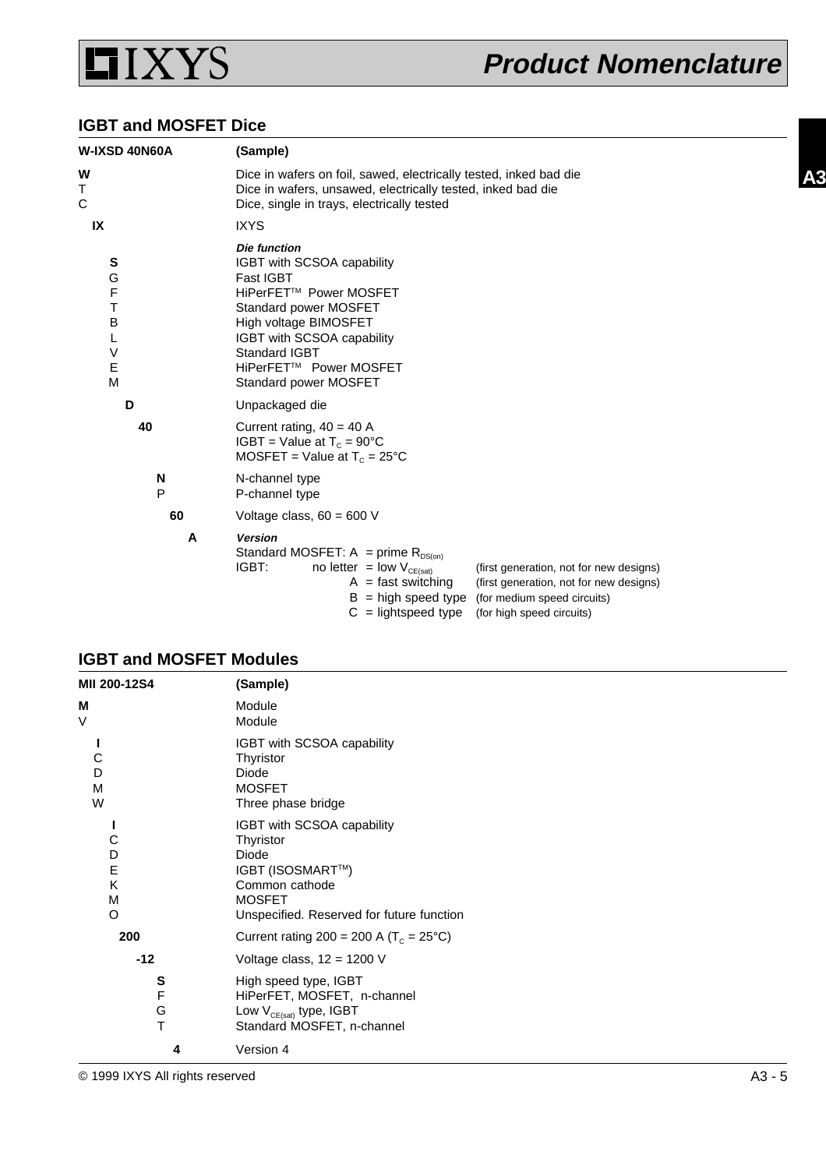

#### **IGBT and MOSFET Dice**

| W-IXSD 40N60A                                            | (Sample)                                                                                                                                                                                                                                                                                                                        |  |  |
|----------------------------------------------------------|---------------------------------------------------------------------------------------------------------------------------------------------------------------------------------------------------------------------------------------------------------------------------------------------------------------------------------|--|--|
| W<br>Τ<br>C                                              | Dice in wafers on foil, sawed, electrically tested, inked bad die<br>Dice in wafers, unsawed, electrically tested, inked bad die<br>Dice, single in trays, electrically tested                                                                                                                                                  |  |  |
| IX                                                       | <b>IXYS</b>                                                                                                                                                                                                                                                                                                                     |  |  |
| S<br>G<br>F<br>T<br>B<br>L<br>$\vee$<br>$\mathsf E$<br>M | Die function<br>IGBT with SCSOA capability<br><b>Fast IGBT</b><br>HiPerFET™ Power MOSFET<br>Standard power MOSFET<br>High voltage BIMOSFET<br>IGBT with SCSOA capability<br><b>Standard IGBT</b><br>HiPerFET™ Power MOSFET<br>Standard power MOSFET                                                                             |  |  |
| D                                                        | Unpackaged die                                                                                                                                                                                                                                                                                                                  |  |  |
| 40                                                       | Current rating, $40 = 40$ A<br>IGBT = Value at $T_c = 90^{\circ}$ C<br>MOSFET = Value at $T_c = 25^{\circ}C$                                                                                                                                                                                                                    |  |  |
| N<br>P                                                   | N-channel type<br>P-channel type                                                                                                                                                                                                                                                                                                |  |  |
| 60                                                       | Voltage class, $60 = 600$ V                                                                                                                                                                                                                                                                                                     |  |  |
| A                                                        | <b>Version</b><br>Standard MOSFET: A = prime $R_{DS(0n)}$<br>IGBT:<br>no letter = low $V_{CE(sat)}$<br>(first generation, not for new designs)<br>$A =$ fast switching<br>(first generation, not for new designs)<br>$B = high speed type$<br>(for medium speed circuits)<br>$C =$ lightspeed type<br>(for high speed circuits) |  |  |

### **IGBT and MOSFET Modules**

| MII 200-12S4               | (Sample)                                                                                                                                             |
|----------------------------|------------------------------------------------------------------------------------------------------------------------------------------------------|
| М<br>V                     | Module<br>Module                                                                                                                                     |
| С<br>D<br>M<br>W           | IGBT with SCSOA capability<br>Thyristor<br>Diode<br><b>MOSFET</b><br>Three phase bridge                                                              |
| С<br>D<br>E<br>Κ<br>M<br>O | IGBT with SCSOA capability<br>Thyristor<br>Diode<br>IGBT (ISOSMART™)<br>Common cathode<br><b>MOSFET</b><br>Unspecified. Reserved for future function |
| 200                        | Current rating 200 = 200 A ( $T_c$ = 25°C)                                                                                                           |
| $-12$                      | Voltage class, $12 = 1200$ V                                                                                                                         |
| S<br>F<br>G<br>T           | High speed type, IGBT<br>HiPerFET, MOSFET, n-channel<br>Low $V_{CE(sat)}$ type, IGBT<br>Standard MOSFET, n-channel                                   |
| 4                          | Version 4                                                                                                                                            |